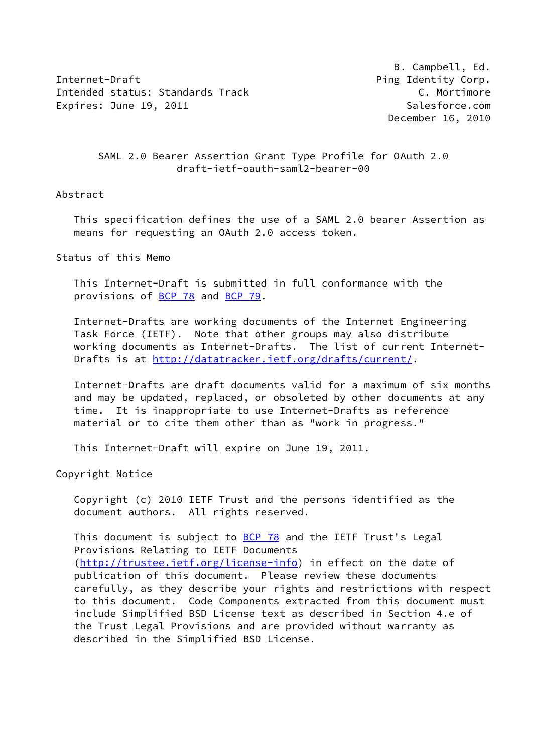Internet-Draft **Ping Identity Corp.** Intended status: Standards Track C. Mortimore Expires: June 19, 2011 **Salesforce.com** 

 B. Campbell, Ed. December 16, 2010

## SAML 2.0 Bearer Assertion Grant Type Profile for OAuth 2.0 draft-ietf-oauth-saml2-bearer-00

#### Abstract

 This specification defines the use of a SAML 2.0 bearer Assertion as means for requesting an OAuth 2.0 access token.

Status of this Memo

 This Internet-Draft is submitted in full conformance with the provisions of [BCP 78](https://datatracker.ietf.org/doc/pdf/bcp78) and [BCP 79](https://datatracker.ietf.org/doc/pdf/bcp79).

 Internet-Drafts are working documents of the Internet Engineering Task Force (IETF). Note that other groups may also distribute working documents as Internet-Drafts. The list of current Internet- Drafts is at<http://datatracker.ietf.org/drafts/current/>.

 Internet-Drafts are draft documents valid for a maximum of six months and may be updated, replaced, or obsoleted by other documents at any time. It is inappropriate to use Internet-Drafts as reference material or to cite them other than as "work in progress."

This Internet-Draft will expire on June 19, 2011.

Copyright Notice

 Copyright (c) 2010 IETF Trust and the persons identified as the document authors. All rights reserved.

This document is subject to **[BCP 78](https://datatracker.ietf.org/doc/pdf/bcp78)** and the IETF Trust's Legal Provisions Relating to IETF Documents [\(http://trustee.ietf.org/license-info](http://trustee.ietf.org/license-info)) in effect on the date of publication of this document. Please review these documents carefully, as they describe your rights and restrictions with respect to this document. Code Components extracted from this document must include Simplified BSD License text as described in Section 4.e of the Trust Legal Provisions and are provided without warranty as described in the Simplified BSD License.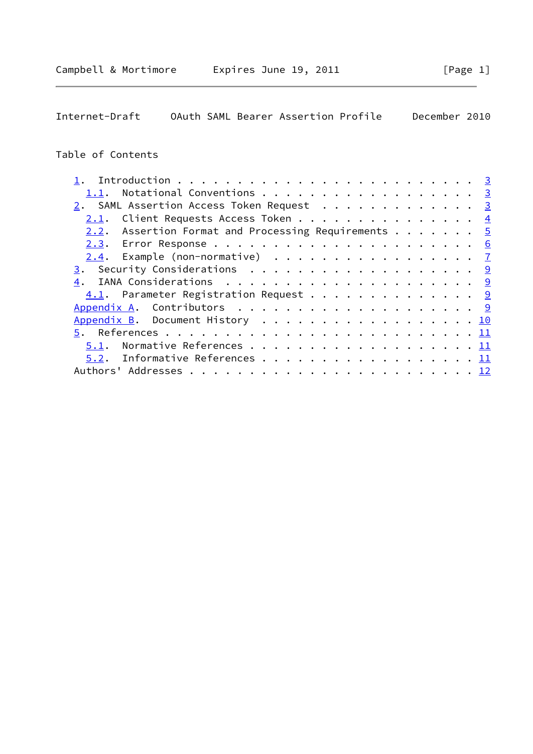# Table of Contents

| 1.1. Notational Conventions 3                                   |  |  |  |  |
|-----------------------------------------------------------------|--|--|--|--|
| 2. SAML Assertion Access Token Request 3                        |  |  |  |  |
| <u>2.1</u> . Client Requests Access Token 4                     |  |  |  |  |
| 2.2. Assertion Format and Processing Requirements $\frac{5}{2}$ |  |  |  |  |
|                                                                 |  |  |  |  |
| $2.4$ . Example (non-normative) $\frac{7}{2}$                   |  |  |  |  |
|                                                                 |  |  |  |  |
|                                                                 |  |  |  |  |
| 4.1. Parameter Registration Request 9                           |  |  |  |  |
|                                                                 |  |  |  |  |
| Appendix B. Document History 10                                 |  |  |  |  |
|                                                                 |  |  |  |  |
| 5.1.                                                            |  |  |  |  |
| 5.2. Informative References 11                                  |  |  |  |  |
|                                                                 |  |  |  |  |
|                                                                 |  |  |  |  |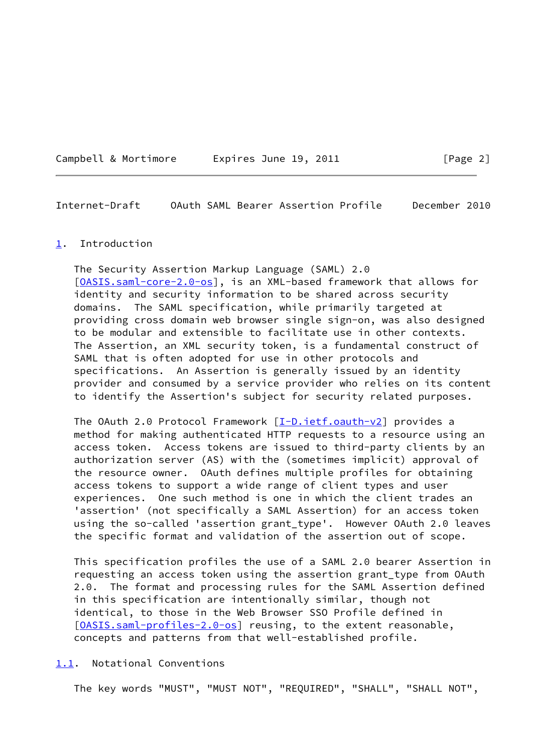#### <span id="page-2-1"></span><span id="page-2-0"></span>[1](#page-2-0). Introduction

 The Security Assertion Markup Language (SAML) 2.0 [\[OASIS.saml-core-2.0-os](#page-11-4)], is an XML-based framework that allows for identity and security information to be shared across security domains. The SAML specification, while primarily targeted at providing cross domain web browser single sign-on, was also designed to be modular and extensible to facilitate use in other contexts. The Assertion, an XML security token, is a fundamental construct of SAML that is often adopted for use in other protocols and specifications. An Assertion is generally issued by an identity provider and consumed by a service provider who relies on its content to identify the Assertion's subject for security related purposes.

The OAuth 2.0 Protocol Framework [\[I-D.ietf.oauth-v2\]](#page-11-5) provides a method for making authenticated HTTP requests to a resource using an access token. Access tokens are issued to third-party clients by an authorization server (AS) with the (sometimes implicit) approval of the resource owner. OAuth defines multiple profiles for obtaining access tokens to support a wide range of client types and user experiences. One such method is one in which the client trades an 'assertion' (not specifically a SAML Assertion) for an access token using the so-called 'assertion grant\_type'. However OAuth 2.0 leaves the specific format and validation of the assertion out of scope.

 This specification profiles the use of a SAML 2.0 bearer Assertion in requesting an access token using the assertion grant\_type from OAuth 2.0. The format and processing rules for the SAML Assertion defined in this specification are intentionally similar, though not identical, to those in the Web Browser SSO Profile defined in [\[OASIS.saml-profiles-2.0-os\]](#page-12-1) reusing, to the extent reasonable, concepts and patterns from that well-established profile.

<span id="page-2-2"></span>[1.1](#page-2-2). Notational Conventions

The key words "MUST", "MUST NOT", "REQUIRED", "SHALL", "SHALL NOT",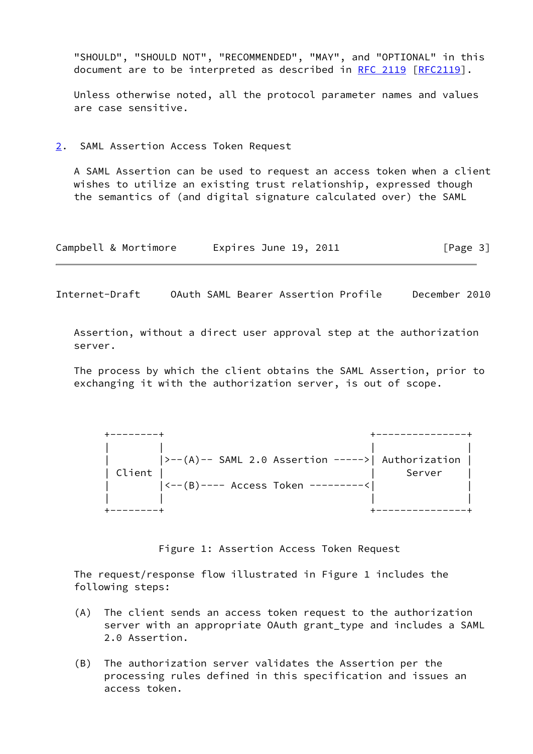"SHOULD", "SHOULD NOT", "RECOMMENDED", "MAY", and "OPTIONAL" in this document are to be interpreted as described in [RFC 2119 \[RFC2119](https://datatracker.ietf.org/doc/pdf/rfc2119)].

 Unless otherwise noted, all the protocol parameter names and values are case sensitive.

<span id="page-3-0"></span>[2](#page-3-0). SAML Assertion Access Token Request

 A SAML Assertion can be used to request an access token when a client wishes to utilize an existing trust relationship, expressed though the semantics of (and digital signature calculated over) the SAML

| Campbell & Mortimore | Expires June 19, 2011 | [Page 3] |
|----------------------|-----------------------|----------|
|----------------------|-----------------------|----------|

<span id="page-3-1"></span>Internet-Draft OAuth SAML Bearer Assertion Profile December 2010

 Assertion, without a direct user approval step at the authorization server.

 The process by which the client obtains the SAML Assertion, prior to exchanging it with the authorization server, is out of scope.

|        | $ ---(A)---SAML$ 2.0 Assertion ----->  Authorization |        |
|--------|------------------------------------------------------|--------|
| Client |                                                      | Server |
|        | $ ---(B)---$ Access Token --------<                  |        |
|        |                                                      |        |
|        |                                                      |        |

Figure 1: Assertion Access Token Request

 The request/response flow illustrated in Figure 1 includes the following steps:

- (A) The client sends an access token request to the authorization server with an appropriate OAuth grant type and includes a SAML 2.0 Assertion.
- (B) The authorization server validates the Assertion per the processing rules defined in this specification and issues an access token.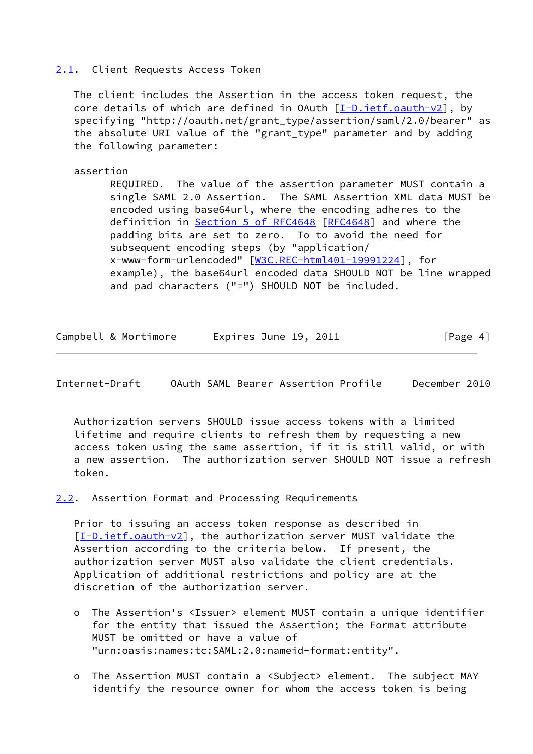### <span id="page-4-0"></span>[2.1](#page-4-0). Client Requests Access Token

 The client includes the Assertion in the access token request, the core details of which are defined in OAuth [[I-D.ietf.oauth-v2\]](#page-11-5), by specifying "http://oauth.net/grant\_type/assertion/saml/2.0/bearer" as the absolute URI value of the "grant type" parameter and by adding the following parameter:

#### assertion

 REQUIRED. The value of the assertion parameter MUST contain a single SAML 2.0 Assertion. The SAML Assertion XML data MUST be encoded using base64url, where the encoding adheres to the definition in Section [5 of RFC4648](https://datatracker.ietf.org/doc/pdf/rfc4648#section-5) [\[RFC4648](https://datatracker.ietf.org/doc/pdf/rfc4648)] and where the padding bits are set to zero. To to avoid the need for subsequent encoding steps (by "application/ x-www-form-urlencoded" [\[W3C.REC-html401-19991224](#page-12-2)], for example), the base64url encoded data SHOULD NOT be line wrapped and pad characters ("=") SHOULD NOT be included.

| Campbell & Mortimore | Expires June 19, 2011 | [Page 4] |
|----------------------|-----------------------|----------|
|----------------------|-----------------------|----------|

<span id="page-4-2"></span>Internet-Draft OAuth SAML Bearer Assertion Profile December 2010

 Authorization servers SHOULD issue access tokens with a limited lifetime and require clients to refresh them by requesting a new access token using the same assertion, if it is still valid, or with a new assertion. The authorization server SHOULD NOT issue a refresh token.

<span id="page-4-1"></span>[2.2](#page-4-1). Assertion Format and Processing Requirements

 Prior to issuing an access token response as described in [\[I-D.ietf.oauth-v2](#page-11-5)], the authorization server MUST validate the Assertion according to the criteria below. If present, the authorization server MUST also validate the client credentials. Application of additional restrictions and policy are at the discretion of the authorization server.

- o The Assertion's <Issuer> element MUST contain a unique identifier for the entity that issued the Assertion; the Format attribute MUST be omitted or have a value of "urn:oasis:names:tc:SAML:2.0:nameid-format:entity".
- o The Assertion MUST contain a <Subject> element. The subject MAY identify the resource owner for whom the access token is being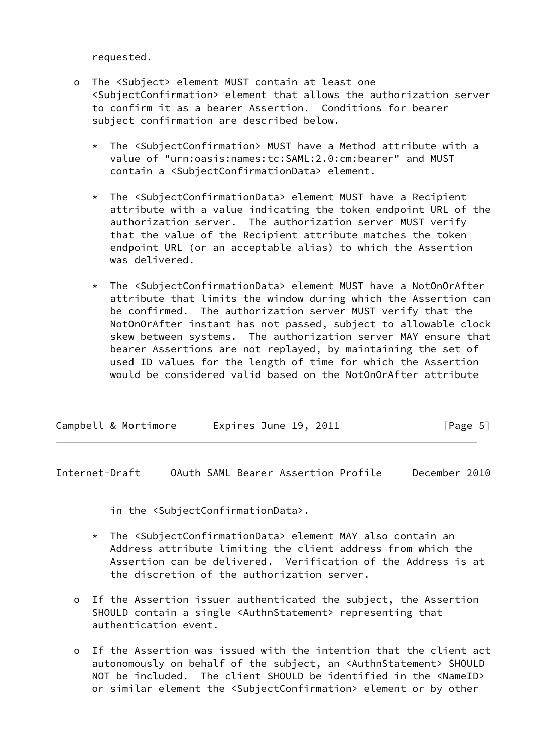requested.

- o The <Subject> element MUST contain at least one <SubjectConfirmation> element that allows the authorization server to confirm it as a bearer Assertion. Conditions for bearer subject confirmation are described below.
	- \* The <SubjectConfirmation> MUST have a Method attribute with a value of "urn:oasis:names:tc:SAML:2.0:cm:bearer" and MUST contain a <SubjectConfirmationData> element.
	- \* The <SubjectConfirmationData> element MUST have a Recipient attribute with a value indicating the token endpoint URL of the authorization server. The authorization server MUST verify that the value of the Recipient attribute matches the token endpoint URL (or an acceptable alias) to which the Assertion was delivered.
	- \* The <SubjectConfirmationData> element MUST have a NotOnOrAfter attribute that limits the window during which the Assertion can be confirmed. The authorization server MUST verify that the NotOnOrAfter instant has not passed, subject to allowable clock skew between systems. The authorization server MAY ensure that bearer Assertions are not replayed, by maintaining the set of used ID values for the length of time for which the Assertion would be considered valid based on the NotOnOrAfter attribute

| Campbell & Mortimore | Expires June 19, 2011 | [Page 5] |
|----------------------|-----------------------|----------|
|----------------------|-----------------------|----------|

<span id="page-5-0"></span>Internet-Draft OAuth SAML Bearer Assertion Profile December 2010

in the <SubjectConfirmationData>.

- \* The <SubjectConfirmationData> element MAY also contain an Address attribute limiting the client address from which the Assertion can be delivered. Verification of the Address is at the discretion of the authorization server.
- o If the Assertion issuer authenticated the subject, the Assertion SHOULD contain a single <AuthnStatement> representing that authentication event.
- o If the Assertion was issued with the intention that the client act autonomously on behalf of the subject, an <AuthnStatement> SHOULD NOT be included. The client SHOULD be identified in the <NameID> or similar element the <SubjectConfirmation> element or by other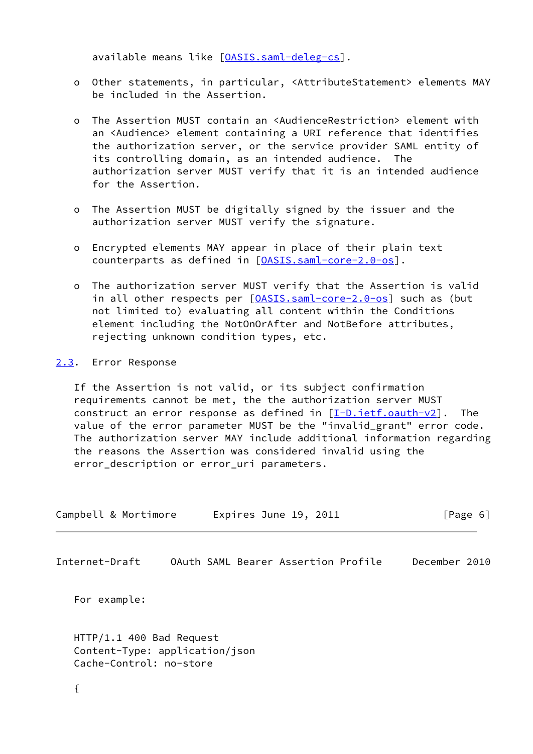available means like [\[OASIS.saml-deleg-cs](#page-12-3)].

- o Other statements, in particular, <AttributeStatement> elements MAY be included in the Assertion.
- o The Assertion MUST contain an <AudienceRestriction> element with an <Audience> element containing a URI reference that identifies the authorization server, or the service provider SAML entity of its controlling domain, as an intended audience. The authorization server MUST verify that it is an intended audience for the Assertion.
- o The Assertion MUST be digitally signed by the issuer and the authorization server MUST verify the signature.
- o Encrypted elements MAY appear in place of their plain text counterparts as defined in [[OASIS.saml-core-2.0-os](#page-11-4)].
- o The authorization server MUST verify that the Assertion is valid in all other respects per [\[OASIS.saml-core-2.0-os](#page-11-4)] such as (but not limited to) evaluating all content within the Conditions element including the NotOnOrAfter and NotBefore attributes, rejecting unknown condition types, etc.

### <span id="page-6-0"></span>[2.3](#page-6-0). Error Response

 If the Assertion is not valid, or its subject confirmation requirements cannot be met, the the authorization server MUST construct an error response as defined in  $[I-D.iett.oauth-v2]$ . The value of the error parameter MUST be the "invalid\_grant" error code. The authorization server MAY include additional information regarding the reasons the Assertion was considered invalid using the error\_description or error\_uri parameters.

<span id="page-6-1"></span>

| Campbell & Mortimore                                | Expires June 19, 2011               | [Page 6]      |
|-----------------------------------------------------|-------------------------------------|---------------|
| Internet-Draft                                      | OAuth SAML Bearer Assertion Profile | December 2010 |
| For example:                                        |                                     |               |
| HTTP/1.1 400 Bad Request<br>Cache-Control: no-store | Content-Type: application/json      |               |
|                                                     |                                     |               |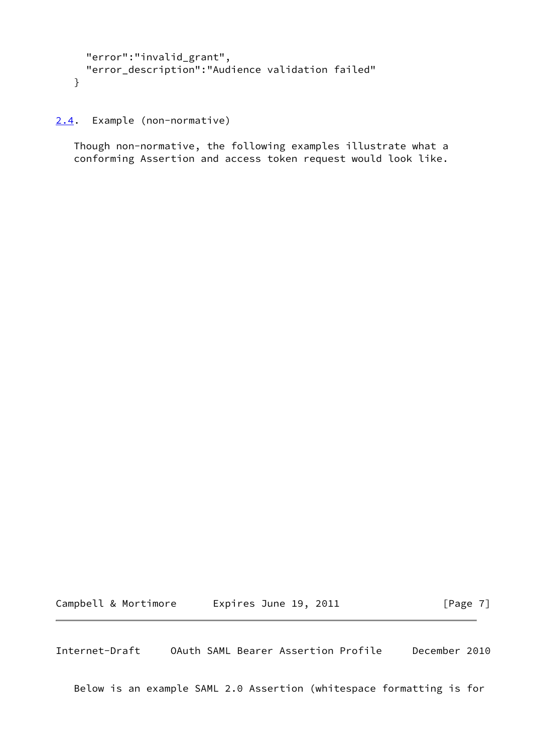```
 "error":"invalid_grant",
  "error_description":"Audience validation failed"
}
```
<span id="page-7-0"></span>[2.4](#page-7-0). Example (non-normative)

 Though non-normative, the following examples illustrate what a conforming Assertion and access token request would look like.

Campbell & Mortimore Expires June 19, 2011 [Page 7]

Internet-Draft OAuth SAML Bearer Assertion Profile December 2010

Below is an example SAML 2.0 Assertion (whitespace formatting is for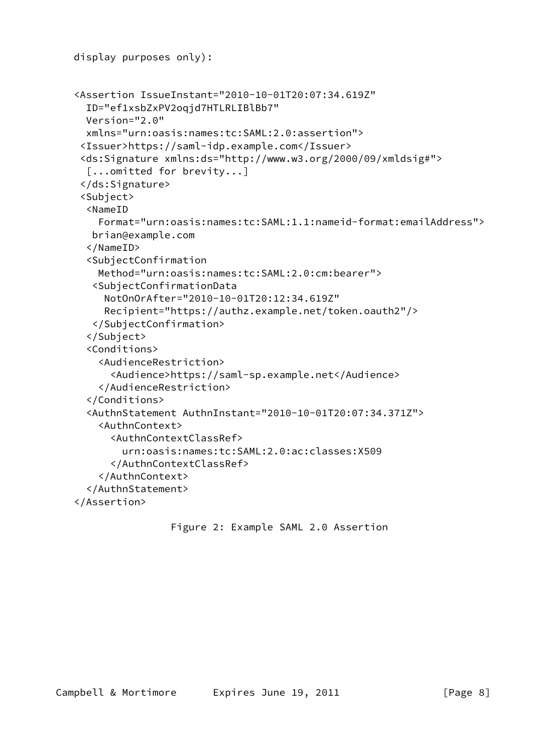```
 display purposes only):
<Assertion IssueInstant="2010-10-01T20:07:34.619Z"
  ID="ef1xsbZxPV2oqjd7HTLRLIBlBb7"
  Version="2.0"
  xmlns="urn:oasis:names:tc:SAML:2.0:assertion">
 <Issuer>https://saml-idp.example.com</Issuer>
 <ds:Signature xmlns:ds="http://www.w3.org/2000/09/xmldsig#">
  [...omitted for brevity...]
 </ds:Signature>
 <Subject>
  <NameID
    Format="urn:oasis:names:tc:SAML:1.1:nameid-format:emailAddress">
   brian@example.com
  </NameID>
  <SubjectConfirmation
    Method="urn:oasis:names:tc:SAML:2.0:cm:bearer">
   <SubjectConfirmationData
     NotOnOrAfter="2010-10-01T20:12:34.619Z"
     Recipient="https://authz.example.net/token.oauth2"/>
   </SubjectConfirmation>
  </Subject>
  <Conditions>
    <AudienceRestriction>
      <Audience>https://saml-sp.example.net</Audience>
    </AudienceRestriction>
  </Conditions>
  <AuthnStatement AuthnInstant="2010-10-01T20:07:34.371Z">
    <AuthnContext>
      <AuthnContextClassRef>
        urn:oasis:names:tc:SAML:2.0:ac:classes:X509
      </AuthnContextClassRef>
    </AuthnContext>
  </AuthnStatement>
</Assertion>
```

```
 Figure 2: Example SAML 2.0 Assertion
```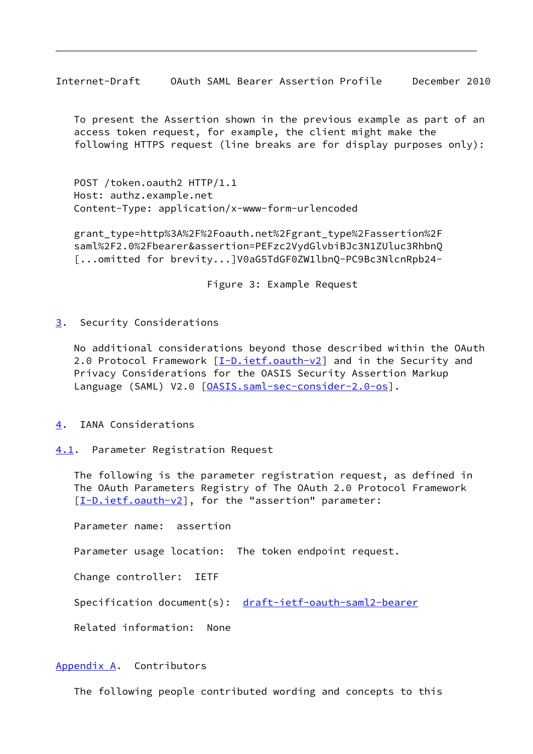<span id="page-9-1"></span> To present the Assertion shown in the previous example as part of an access token request, for example, the client might make the following HTTPS request (line breaks are for display purposes only):

 POST /token.oauth2 HTTP/1.1 Host: authz.example.net Content-Type: application/x-www-form-urlencoded

 grant\_type=http%3A%2F%2Foauth.net%2Fgrant\_type%2Fassertion%2F saml%2F2.0%2Fbearer&assertion=PEFzc2VydGlvbiBJc3N1ZUluc3RhbnQ [...omitted for brevity...]V0aG5TdGF0ZW1lbnQ-PC9Bc3NlcnRpb24-

Figure 3: Example Request

<span id="page-9-0"></span>[3](#page-9-0). Security Considerations

 No additional considerations beyond those described within the OAuth 2.0 Protocol Framework [\[I-D.ietf.oauth-v2](#page-11-5)] and in the Security and Privacy Considerations for the OASIS Security Assertion Markup Language (SAML) V2.0 [\[OASIS.saml-sec-consider-2.0-os](#page-12-4)].

- <span id="page-9-2"></span>[4](#page-9-2). IANA Considerations
- <span id="page-9-3"></span>[4.1](#page-9-3). Parameter Registration Request

 The following is the parameter registration request, as defined in The OAuth Parameters Registry of The OAuth 2.0 Protocol Framework [\[I-D.ietf.oauth-v2](#page-11-5)], for the "assertion" parameter:

Parameter name: assertion

Parameter usage location: The token endpoint request.

Change controller: IETF

Specification document(s): [draft-ietf-oauth-saml2-bearer](https://datatracker.ietf.org/doc/pdf/draft-ietf-oauth-saml2-bearer)

Related information: None

#### <span id="page-9-4"></span>[Appendix A.](#page-9-4) Contributors

The following people contributed wording and concepts to this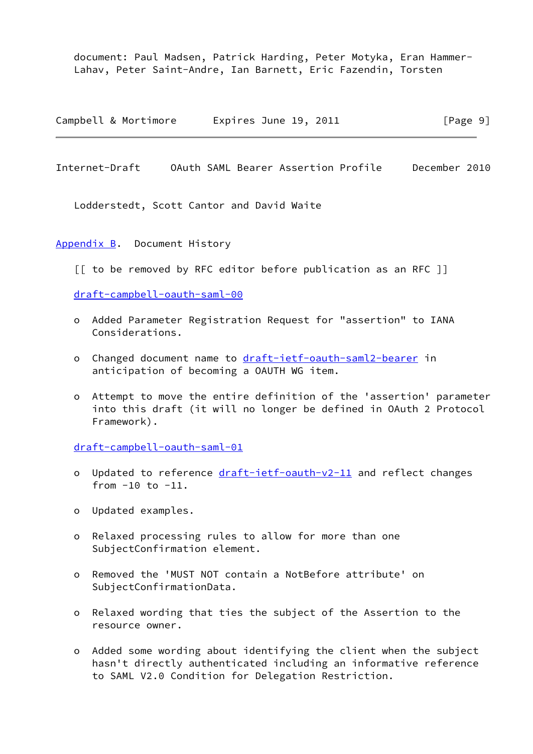document: Paul Madsen, Patrick Harding, Peter Motyka, Eran Hammer- Lahav, Peter Saint-Andre, Ian Barnett, Eric Fazendin, Torsten

Campbell & Mortimore Expires June 19, 2011 [Page 9]

<span id="page-10-1"></span>Internet-Draft OAuth SAML Bearer Assertion Profile December 2010

Lodderstedt, Scott Cantor and David Waite

<span id="page-10-0"></span>[Appendix B.](#page-10-0) Document History

[[ to be removed by RFC editor before publication as an RFC ]]

[draft-campbell-oauth-saml-00](https://datatracker.ietf.org/doc/pdf/draft-campbell-oauth-saml-00)

- o Added Parameter Registration Request for "assertion" to IANA Considerations.
- o Changed document name to [draft-ietf-oauth-saml2-bearer](https://datatracker.ietf.org/doc/pdf/draft-ietf-oauth-saml2-bearer) in anticipation of becoming a OAUTH WG item.
- o Attempt to move the entire definition of the 'assertion' parameter into this draft (it will no longer be defined in OAuth 2 Protocol Framework).

[draft-campbell-oauth-saml-01](https://datatracker.ietf.org/doc/pdf/draft-campbell-oauth-saml-01)

- o Updated to reference [draft-ietf-oauth-v2-11](https://datatracker.ietf.org/doc/pdf/draft-ietf-oauth-v2-11) and reflect changes from  $-10$  to  $-11$ .
- o Updated examples.
- o Relaxed processing rules to allow for more than one SubjectConfirmation element.
- o Removed the 'MUST NOT contain a NotBefore attribute' on SubjectConfirmationData.
- o Relaxed wording that ties the subject of the Assertion to the resource owner.
- o Added some wording about identifying the client when the subject hasn't directly authenticated including an informative reference to SAML V2.0 Condition for Delegation Restriction.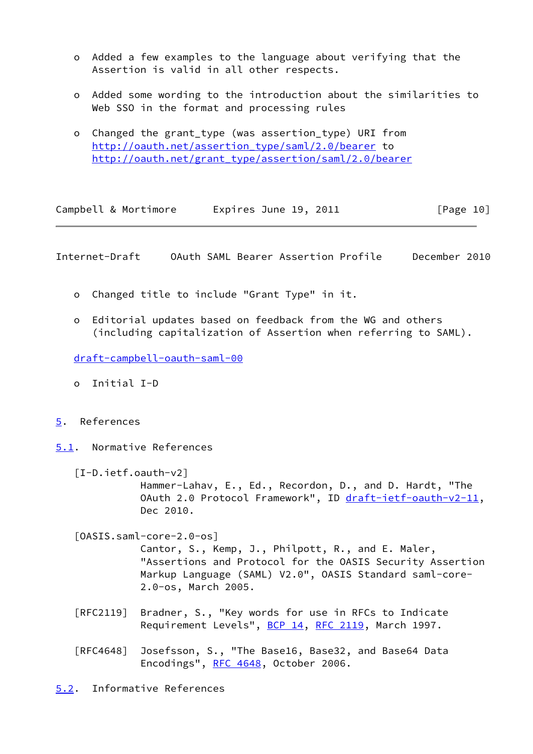- o Added a few examples to the language about verifying that the Assertion is valid in all other respects.
- o Added some wording to the introduction about the similarities to Web SSO in the format and processing rules
- o Changed the grant\_type (was assertion\_type) URI from [http://oauth.net/assertion\\_type/saml/2.0/bearer](http://oauth.net/assertion_type/saml/2.0/bearer) to [http://oauth.net/grant\\_type/assertion/saml/2.0/bearer](http://oauth.net/grant_type/assertion/saml/2.0/bearer)

<span id="page-11-1"></span>

|  | Campbell & Mortimore | Expires June 19, 2011 | [Page 10] |
|--|----------------------|-----------------------|-----------|
|--|----------------------|-----------------------|-----------|

- o Changed title to include "Grant Type" in it.
- o Editorial updates based on feedback from the WG and others (including capitalization of Assertion when referring to SAML).

[draft-campbell-oauth-saml-00](https://datatracker.ietf.org/doc/pdf/draft-campbell-oauth-saml-00)

- o Initial I-D
- <span id="page-11-0"></span>[5](#page-11-0). References
- <span id="page-11-2"></span>[5.1](#page-11-2). Normative References

<span id="page-11-5"></span>[I-D.ietf.oauth-v2]

 Hammer-Lahav, E., Ed., Recordon, D., and D. Hardt, "The OAuth 2.0 Protocol Framework", ID [draft-ietf-oauth-v2-11](https://datatracker.ietf.org/doc/pdf/draft-ietf-oauth-v2-11), Dec 2010.

<span id="page-11-4"></span>[OASIS.saml-core-2.0-os]

 Cantor, S., Kemp, J., Philpott, R., and E. Maler, "Assertions and Protocol for the OASIS Security Assertion Markup Language (SAML) V2.0", OASIS Standard saml-core- 2.0-os, March 2005.

- [RFC2119] Bradner, S., "Key words for use in RFCs to Indicate Requirement Levels", [BCP 14](https://datatracker.ietf.org/doc/pdf/bcp14), [RFC 2119](https://datatracker.ietf.org/doc/pdf/rfc2119), March 1997.
- [RFC4648] Josefsson, S., "The Base16, Base32, and Base64 Data Encodings", [RFC 4648,](https://datatracker.ietf.org/doc/pdf/rfc4648) October 2006.

<span id="page-11-3"></span>[5.2](#page-11-3). Informative References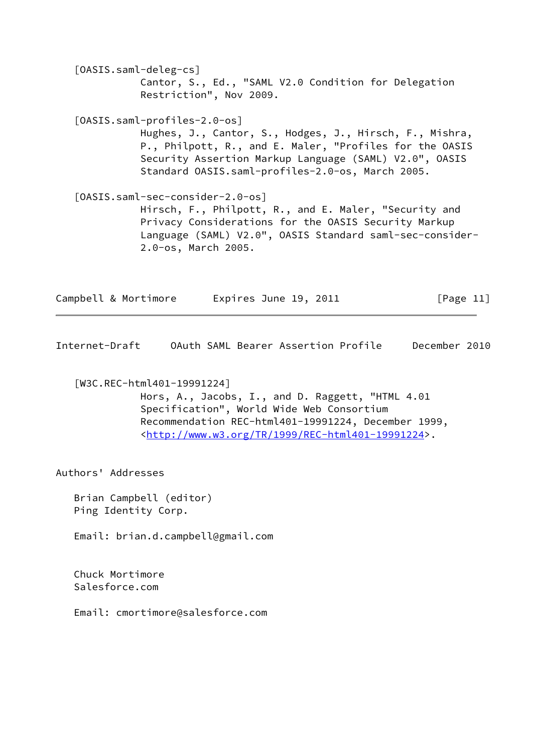<span id="page-12-3"></span><span id="page-12-1"></span> [OASIS.saml-deleg-cs] Cantor, S., Ed., "SAML V2.0 Condition for Delegation Restriction", Nov 2009. [OASIS.saml-profiles-2.0-os] Hughes, J., Cantor, S., Hodges, J., Hirsch, F., Mishra, P., Philpott, R., and E. Maler, "Profiles for the OASIS Security Assertion Markup Language (SAML) V2.0", OASIS Standard OASIS.saml-profiles-2.0-os, March 2005. [OASIS.saml-sec-consider-2.0-os] Hirsch, F., Philpott, R., and E. Maler, "Security and Privacy Considerations for the OASIS Security Markup Language (SAML) V2.0", OASIS Standard saml-sec-consider-

Campbell & Mortimore biology Expires June 19, 2011 [Page 11]

<span id="page-12-0"></span>Internet-Draft OAuth SAML Bearer Assertion Profile December 2010

<span id="page-12-2"></span>[W3C.REC-html401-19991224]

<span id="page-12-4"></span>2.0-os, March 2005.

 Hors, A., Jacobs, I., and D. Raggett, "HTML 4.01 Specification", World Wide Web Consortium Recommendation REC-html401-19991224, December 1999, <<http://www.w3.org/TR/1999/REC-html401-19991224>>.

Authors' Addresses

 Brian Campbell (editor) Ping Identity Corp.

Email: brian.d.campbell@gmail.com

 Chuck Mortimore Salesforce.com

Email: cmortimore@salesforce.com